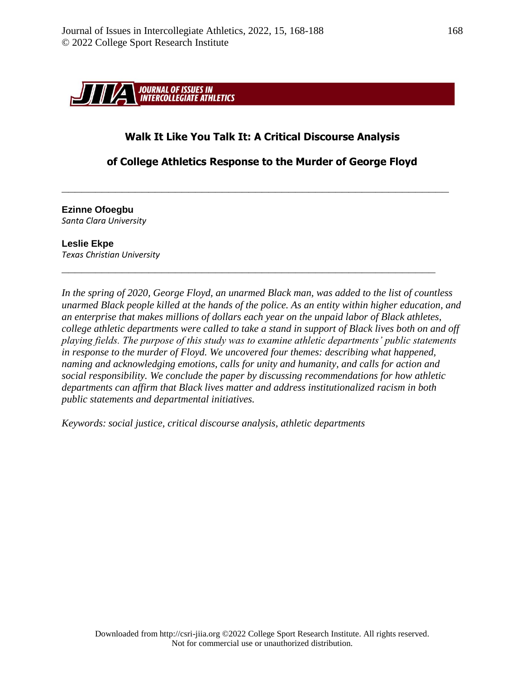

# **Walk It Like You Talk It: A Critical Discourse Analysis**

## **of College Athletics Response to the Murder of George Floyd**

**\_\_\_\_\_\_\_\_\_\_\_\_\_\_\_\_\_\_\_\_\_\_\_\_\_\_\_\_\_\_\_\_\_\_\_\_\_\_\_\_\_\_\_\_\_\_\_\_\_\_\_\_\_\_\_\_\_\_**

**\_\_\_\_\_\_\_\_\_\_\_\_\_\_\_\_\_\_\_\_\_\_\_\_\_\_\_\_\_\_\_\_\_\_\_\_\_\_\_\_\_\_\_\_\_\_\_\_\_\_\_\_\_\_\_\_**

**Ezinne Ofoegbu** *Santa Clara University* 

**Leslie Ekpe** *Texas Christian University*

*In the spring of 2020, George Floyd, an unarmed Black man, was added to the list of countless unarmed Black people killed at the hands of the police. As an entity within higher education, and an enterprise that makes millions of dollars each year on the unpaid labor of Black athletes, college athletic departments were called to take a stand in support of Black lives both on and off playing fields. The purpose of this study was to examine athletic departments' public statements in response to the murder of Floyd. We uncovered four themes: describing what happened, naming and acknowledging emotions, calls for unity and humanity, and calls for action and social responsibility. We conclude the paper by discussing recommendations for how athletic departments can affirm that Black lives matter and address institutionalized racism in both public statements and departmental initiatives.*

*Keywords: social justice, critical discourse analysis, athletic departments*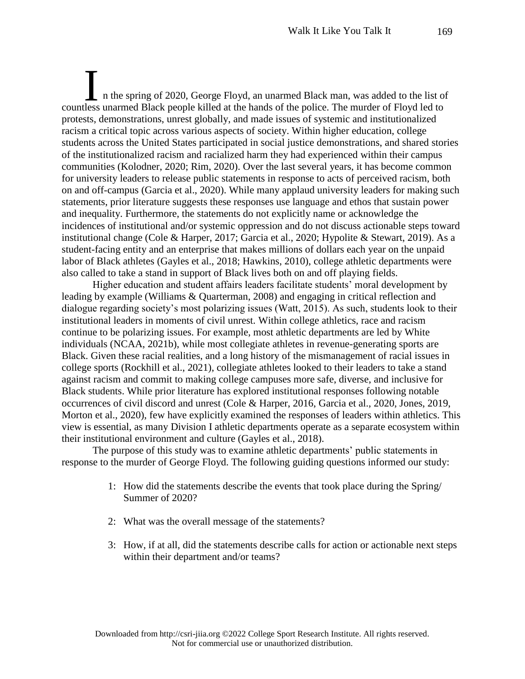n the spring of 2020, George Floyd, an unarmed Black man, was added to the list of If the spring of 2020, George Floyd, an unarmed Black man, was added to the list of countless unarmed Black people killed at the hands of the police. The murder of Floyd led to protests, demonstrations, unrest globally, and made issues of systemic and institutionalized racism a critical topic across various aspects of society. Within higher education, college students across the United States participated in social justice demonstrations, and shared stories of the institutionalized racism and racialized harm they had experienced within their campus communities (Kolodner, 2020; Rim, 2020). Over the last several years, it has become common for university leaders to release public statements in response to acts of perceived racism, both on and off-campus (Garcia et al., 2020). While many applaud university leaders for making such statements, prior literature suggests these responses use language and ethos that sustain power and inequality. Furthermore, the statements do not explicitly name or acknowledge the incidences of institutional and/or systemic oppression and do not discuss actionable steps toward institutional change (Cole & Harper, 2017; Garcia et al., 2020; Hypolite & Stewart, 2019). As a student-facing entity and an enterprise that makes millions of dollars each year on the unpaid labor of Black athletes (Gayles et al., 2018; Hawkins, 2010), college athletic departments were also called to take a stand in support of Black lives both on and off playing fields.

Higher education and student affairs leaders facilitate students' moral development by leading by example (Williams & Quarterman, 2008) and engaging in critical reflection and dialogue regarding society's most polarizing issues (Watt, 2015). As such, students look to their institutional leaders in moments of civil unrest. Within college athletics, race and racism continue to be polarizing issues. For example, most athletic departments are led by White individuals (NCAA, 2021b), while most collegiate athletes in revenue-generating sports are Black. Given these racial realities, and a long history of the mismanagement of racial issues in college sports (Rockhill et al., 2021), collegiate athletes looked to their leaders to take a stand against racism and commit to making college campuses more safe, diverse, and inclusive for Black students. While prior literature has explored institutional responses following notable occurrences of civil discord and unrest (Cole & Harper, 2016, Garcia et al., 2020, Jones, 2019, Morton et al., 2020), few have explicitly examined the responses of leaders within athletics. This view is essential, as many Division I athletic departments operate as a separate ecosystem within their institutional environment and culture (Gayles et al., 2018).

The purpose of this study was to examine athletic departments' public statements in response to the murder of George Floyd. The following guiding questions informed our study:

- 1: How did the statements describe the events that took place during the Spring/ Summer of 2020?
- 2: What was the overall message of the statements?
- 3: How, if at all, did the statements describe calls for action or actionable next steps within their department and/or teams?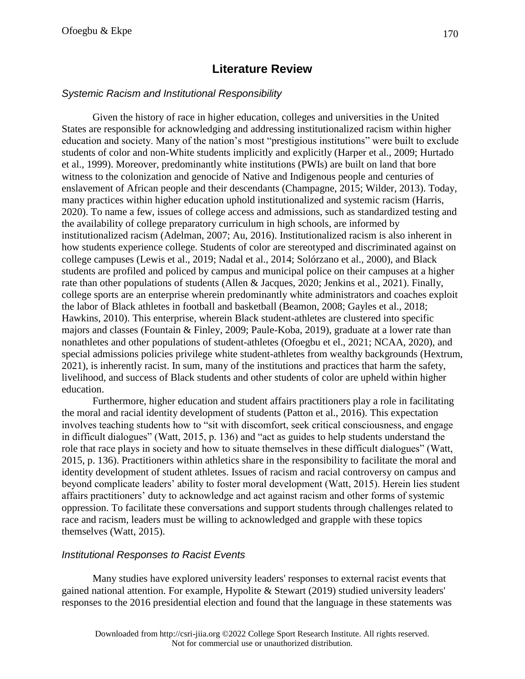# **Literature Review**

## *Systemic Racism and Institutional Responsibility*

Given the history of race in higher education, colleges and universities in the United States are responsible for acknowledging and addressing institutionalized racism within higher education and society. Many of the nation's most "prestigious institutions" were built to exclude students of color and non-White students implicitly and explicitly (Harper et al., 2009; Hurtado et al., 1999). Moreover, predominantly white institutions (PWIs) are built on land that bore witness to the colonization and genocide of Native and Indigenous people and centuries of enslavement of African people and their descendants (Champagne, 2015; Wilder, 2013). Today, many practices within higher education uphold institutionalized and systemic racism (Harris, 2020). To name a few, issues of college access and admissions, such as standardized testing and the availability of college preparatory curriculum in high schools, are informed by institutionalized racism (Adelman, 2007; Au, 2016). Institutionalized racism is also inherent in how students experience college. Students of color are stereotyped and discriminated against on college campuses (Lewis et al., 2019; Nadal et al., 2014; Solórzano et al., 2000), and Black students are profiled and policed by campus and municipal police on their campuses at a higher rate than other populations of students (Allen & Jacques, 2020; Jenkins et al., 2021). Finally, college sports are an enterprise wherein predominantly white administrators and coaches exploit the labor of Black athletes in football and basketball (Beamon, 2008; Gayles et al., 2018; Hawkins, 2010). This enterprise, wherein Black student-athletes are clustered into specific majors and classes (Fountain & Finley, 2009; Paule-Koba, 2019), graduate at a lower rate than nonathletes and other populations of student-athletes (Ofoegbu et el., 2021; NCAA, 2020), and special admissions policies privilege white student-athletes from wealthy backgrounds (Hextrum, 2021), is inherently racist. In sum, many of the institutions and practices that harm the safety, livelihood, and success of Black students and other students of color are upheld within higher education.

Furthermore, higher education and student affairs practitioners play a role in facilitating the moral and racial identity development of students (Patton et al., 2016). This expectation involves teaching students how to "sit with discomfort, seek critical consciousness, and engage in difficult dialogues" (Watt, 2015, p. 136) and "act as guides to help students understand the role that race plays in society and how to situate themselves in these difficult dialogues" (Watt, 2015, p. 136). Practitioners within athletics share in the responsibility to facilitate the moral and identity development of student athletes. Issues of racism and racial controversy on campus and beyond complicate leaders' ability to foster moral development (Watt, 2015). Herein lies student affairs practitioners' duty to acknowledge and act against racism and other forms of systemic oppression. To facilitate these conversations and support students through challenges related to race and racism, leaders must be willing to acknowledged and grapple with these topics themselves (Watt, 2015).

#### *Institutional Responses to Racist Events*

Many studies have explored university leaders' responses to external racist events that gained national attention. For example, Hypolite & Stewart (2019) studied university leaders' responses to the 2016 presidential election and found that the language in these statements was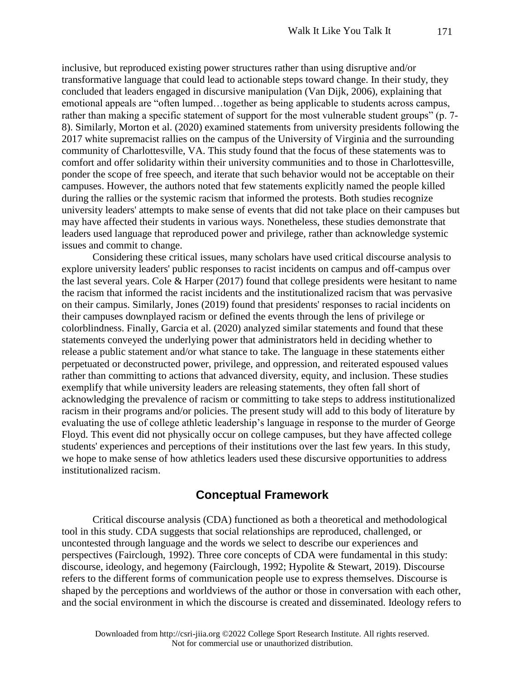inclusive, but reproduced existing power structures rather than using disruptive and/or transformative language that could lead to actionable steps toward change. In their study, they concluded that leaders engaged in discursive manipulation (Van Dijk, 2006), explaining that emotional appeals are "often lumped…together as being applicable to students across campus, rather than making a specific statement of support for the most vulnerable student groups" (p. 7- 8). Similarly, Morton et al. (2020) examined statements from university presidents following the 2017 white supremacist rallies on the campus of the University of Virginia and the surrounding community of Charlottesville, VA. This study found that the focus of these statements was to comfort and offer solidarity within their university communities and to those in Charlottesville, ponder the scope of free speech, and iterate that such behavior would not be acceptable on their campuses. However, the authors noted that few statements explicitly named the people killed during the rallies or the systemic racism that informed the protests. Both studies recognize university leaders' attempts to make sense of events that did not take place on their campuses but may have affected their students in various ways. Nonetheless, these studies demonstrate that leaders used language that reproduced power and privilege, rather than acknowledge systemic issues and commit to change.

Considering these critical issues, many scholars have used critical discourse analysis to explore university leaders' public responses to racist incidents on campus and off-campus over the last several years. Cole & Harper (2017) found that college presidents were hesitant to name the racism that informed the racist incidents and the institutionalized racism that was pervasive on their campus. Similarly, Jones (2019) found that presidents' responses to racial incidents on their campuses downplayed racism or defined the events through the lens of privilege or colorblindness. Finally, Garcia et al. (2020) analyzed similar statements and found that these statements conveyed the underlying power that administrators held in deciding whether to release a public statement and/or what stance to take. The language in these statements either perpetuated or deconstructed power, privilege, and oppression, and reiterated espoused values rather than committing to actions that advanced diversity, equity, and inclusion. These studies exemplify that while university leaders are releasing statements, they often fall short of acknowledging the prevalence of racism or committing to take steps to address institutionalized racism in their programs and/or policies. The present study will add to this body of literature by evaluating the use of college athletic leadership's language in response to the murder of George Floyd. This event did not physically occur on college campuses, but they have affected college students' experiences and perceptions of their institutions over the last few years. In this study, we hope to make sense of how athletics leaders used these discursive opportunities to address institutionalized racism.

# **Conceptual Framework**

Critical discourse analysis (CDA) functioned as both a theoretical and methodological tool in this study. CDA suggests that social relationships are reproduced, challenged, or uncontested through language and the words we select to describe our experiences and perspectives (Fairclough, 1992). Three core concepts of CDA were fundamental in this study: discourse, ideology, and hegemony (Fairclough, 1992; Hypolite & Stewart, 2019). Discourse refers to the different forms of communication people use to express themselves. Discourse is shaped by the perceptions and worldviews of the author or those in conversation with each other, and the social environment in which the discourse is created and disseminated. Ideology refers to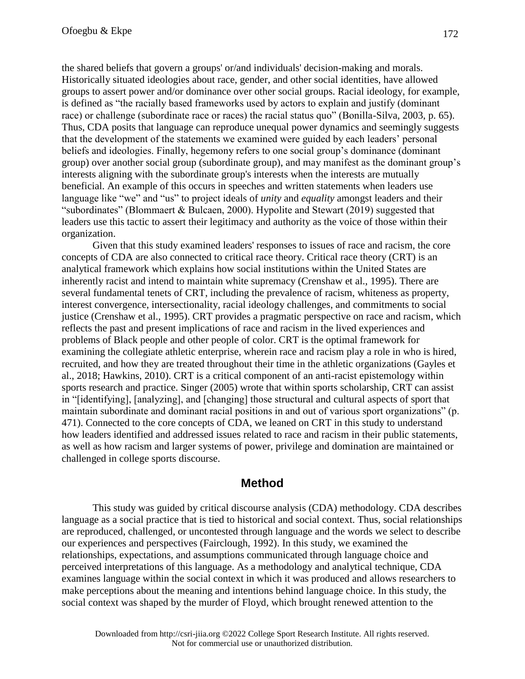the shared beliefs that govern a groups' or/and individuals' decision-making and morals. Historically situated ideologies about race, gender, and other social identities, have allowed groups to assert power and/or dominance over other social groups. Racial ideology, for example, is defined as "the racially based frameworks used by actors to explain and justify (dominant race) or challenge (subordinate race or races) the racial status quo" (Bonilla-Silva, 2003, p. 65). Thus, CDA posits that language can reproduce unequal power dynamics and seemingly suggests that the development of the statements we examined were guided by each leaders' personal beliefs and ideologies. Finally, hegemony refers to one social group's dominance (dominant group) over another social group (subordinate group), and may manifest as the dominant group's interests aligning with the subordinate group's interests when the interests are mutually beneficial. An example of this occurs in speeches and written statements when leaders use language like "we" and "us" to project ideals of *unity* and *equality* amongst leaders and their "subordinates" (Blommaert & Bulcaen, 2000). Hypolite and Stewart (2019) suggested that leaders use this tactic to assert their legitimacy and authority as the voice of those within their organization.

Given that this study examined leaders' responses to issues of race and racism, the core concepts of CDA are also connected to critical race theory. Critical race theory (CRT) is an analytical framework which explains how social institutions within the United States are inherently racist and intend to maintain white supremacy (Crenshaw et al., 1995). There are several fundamental tenets of CRT, including the prevalence of racism, whiteness as property, interest convergence, intersectionality, racial ideology challenges, and commitments to social justice (Crenshaw et al., 1995). CRT provides a pragmatic perspective on race and racism, which reflects the past and present implications of race and racism in the lived experiences and problems of Black people and other people of color. CRT is the optimal framework for examining the collegiate athletic enterprise, wherein race and racism play a role in who is hired, recruited, and how they are treated throughout their time in the athletic organizations (Gayles et al., 2018; Hawkins, 2010). CRT is a critical component of an anti-racist epistemology within sports research and practice. Singer (2005) wrote that within sports scholarship, CRT can assist in "[identifying], [analyzing], and [changing] those structural and cultural aspects of sport that maintain subordinate and dominant racial positions in and out of various sport organizations" (p. 471). Connected to the core concepts of CDA, we leaned on CRT in this study to understand how leaders identified and addressed issues related to race and racism in their public statements, as well as how racism and larger systems of power, privilege and domination are maintained or challenged in college sports discourse.

#### **Method**

This study was guided by critical discourse analysis (CDA) methodology. CDA describes language as a social practice that is tied to historical and social context. Thus, social relationships are reproduced, challenged, or uncontested through language and the words we select to describe our experiences and perspectives (Fairclough, 1992). In this study, we examined the relationships, expectations, and assumptions communicated through language choice and perceived interpretations of this language. As a methodology and analytical technique, CDA examines language within the social context in which it was produced and allows researchers to make perceptions about the meaning and intentions behind language choice. In this study, the social context was shaped by the murder of Floyd, which brought renewed attention to the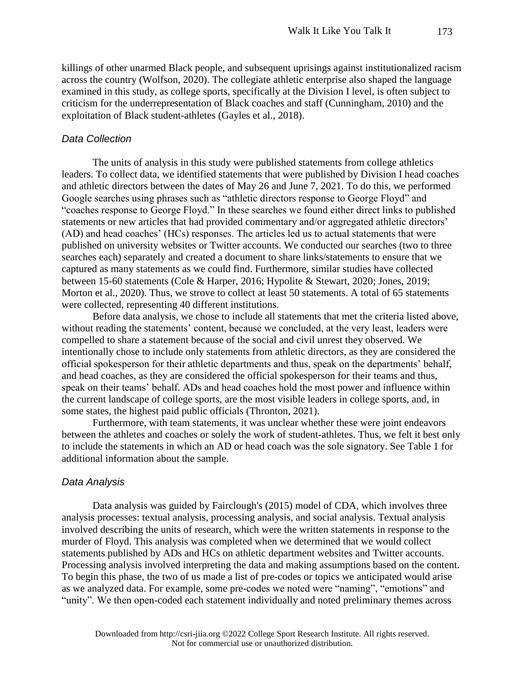killings of other unarmed Black people, and subsequent uprisings against institutionalized racism across the country (Wolfson, 2020). The collegiate athletic enterprise also shaped the language examined in this study, as college sports, specifically at the Division I level, is often subject to criticism for the underrepresentation of Black coaches and staff (Cunningham, 2010) and the exploitation of Black student-athletes (Gayles et al., 2018).

#### *Data Collection*

The units of analysis in this study were published statements from college athletics leaders. To collect data, we identified statements that were published by Division I head coaches and athletic directors between the dates of May 26 and June 7, 2021. To do this, we performed Google searches using phrases such as "athletic directors response to George Floyd" and "coaches response to George Floyd." In these searches we found either direct links to published statements or new articles that had provided commentary and/or aggregated athletic directors' (AD) and head coaches' (HCs) responses. The articles led us to actual statements that were published on university websites or Twitter accounts. We conducted our searches (two to three searches each) separately and created a document to share links/statements to ensure that we captured as many statements as we could find. Furthermore, similar studies have collected between 15-60 statements (Cole & Harper, 2016; Hypolite & Stewart, 2020; Jones, 2019; Morton et al., 2020). Thus, we strove to collect at least 50 statements. A total of 65 statements were collected, representing 40 different institutions.

Before data analysis, we chose to include all statements that met the criteria listed above, without reading the statements' content, because we concluded, at the very least, leaders were compelled to share a statement because of the social and civil unrest they observed. We intentionally chose to include only statements from athletic directors, as they are considered the official spokesperson for their athletic departments and thus, speak on the departments' behalf, and head coaches, as they are considered the official spokesperson for their teams and thus, speak on their teams' behalf. ADs and head coaches hold the most power and influence within the current landscape of college sports, are the most visible leaders in college sports, and, in some states, the highest paid public officials (Thronton, 2021).

Furthermore, with team statements, it was unclear whether these were joint endeavors between the athletes and coaches or solely the work of student-athletes. Thus, we felt it best only to include the statements in which an AD or head coach was the sole signatory. See Table 1 for additional information about the sample.

#### *Data Analysis*

Data analysis was guided by Fairclough's (2015) model of CDA, which involves three analysis processes: textual analysis, processing analysis, and social analysis. Textual analysis involved describing the units of research, which were the written statements in response to the murder of Floyd. This analysis was completed when we determined that we would collect statements published by ADs and HCs on athletic department websites and Twitter accounts. Processing analysis involved interpreting the data and making assumptions based on the content. To begin this phase, the two of us made a list of pre-codes or topics we anticipated would arise as we analyzed data. For example, some pre-codes we noted were "naming", "emotions" and "unity". We then open-coded each statement individually and noted preliminary themes across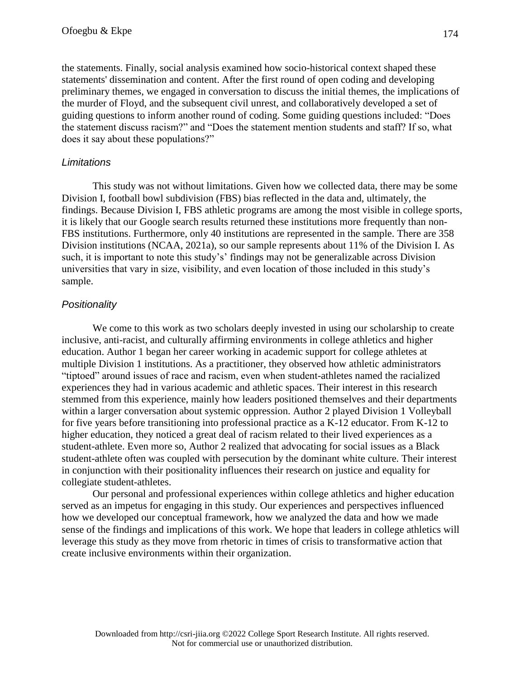the statements. Finally, social analysis examined how socio-historical context shaped these statements' dissemination and content. After the first round of open coding and developing preliminary themes, we engaged in conversation to discuss the initial themes, the implications of the murder of Floyd, and the subsequent civil unrest, and collaboratively developed a set of guiding questions to inform another round of coding. Some guiding questions included: "Does the statement discuss racism?" and "Does the statement mention students and staff? If so, what does it say about these populations?"

#### *Limitations*

This study was not without limitations. Given how we collected data, there may be some Division I, football bowl subdivision (FBS) bias reflected in the data and, ultimately, the findings. Because Division I, FBS athletic programs are among the most visible in college sports, it is likely that our Google search results returned these institutions more frequently than non-FBS institutions. Furthermore, only 40 institutions are represented in the sample. There are 358 Division institutions (NCAA, 2021a), so our sample represents about 11% of the Division I. As such, it is important to note this study's' findings may not be generalizable across Division universities that vary in size, visibility, and even location of those included in this study's sample.

#### *Positionality*

We come to this work as two scholars deeply invested in using our scholarship to create inclusive, anti-racist, and culturally affirming environments in college athletics and higher education. Author 1 began her career working in academic support for college athletes at multiple Division 1 institutions. As a practitioner, they observed how athletic administrators "tiptoed" around issues of race and racism, even when student-athletes named the racialized experiences they had in various academic and athletic spaces. Their interest in this research stemmed from this experience, mainly how leaders positioned themselves and their departments within a larger conversation about systemic oppression. Author 2 played Division 1 Volleyball for five years before transitioning into professional practice as a K-12 educator. From K-12 to higher education, they noticed a great deal of racism related to their lived experiences as a student-athlete. Even more so, Author 2 realized that advocating for social issues as a Black student-athlete often was coupled with persecution by the dominant white culture. Their interest in conjunction with their positionality influences their research on justice and equality for collegiate student-athletes.

Our personal and professional experiences within college athletics and higher education served as an impetus for engaging in this study. Our experiences and perspectives influenced how we developed our conceptual framework, how we analyzed the data and how we made sense of the findings and implications of this work. We hope that leaders in college athletics will leverage this study as they move from rhetoric in times of crisis to transformative action that create inclusive environments within their organization.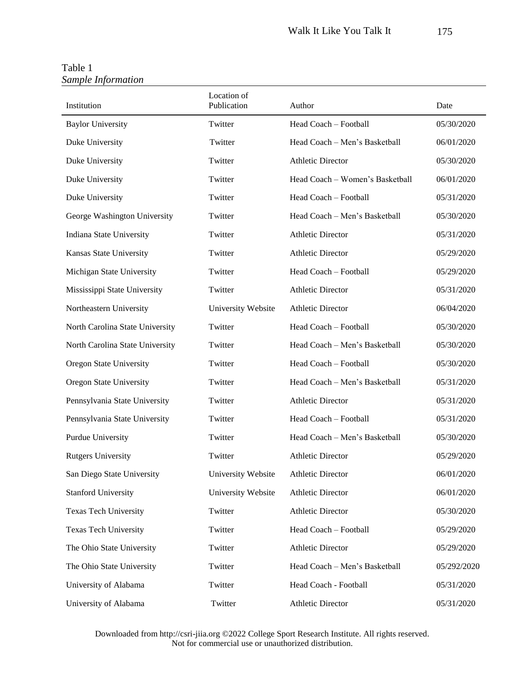| Institution                     | Location of<br>Publication | Author                          | Date        |
|---------------------------------|----------------------------|---------------------------------|-------------|
| <b>Baylor University</b>        | Twitter                    | Head Coach – Football           | 05/30/2020  |
| Duke University                 | Twitter                    | Head Coach - Men's Basketball   | 06/01/2020  |
| Duke University                 | Twitter                    | <b>Athletic Director</b>        | 05/30/2020  |
| Duke University                 | Twitter                    | Head Coach - Women's Basketball | 06/01/2020  |
| Duke University                 | Twitter                    | Head Coach - Football           | 05/31/2020  |
| George Washington University    | Twitter                    | Head Coach – Men's Basketball   | 05/30/2020  |
| Indiana State University        | Twitter                    | <b>Athletic Director</b>        | 05/31/2020  |
| Kansas State University         | Twitter                    | <b>Athletic Director</b>        | 05/29/2020  |
| Michigan State University       | Twitter                    | Head Coach - Football           | 05/29/2020  |
| Mississippi State University    | Twitter                    | <b>Athletic Director</b>        | 05/31/2020  |
| Northeastern University         | University Website         | <b>Athletic Director</b>        | 06/04/2020  |
| North Carolina State University | Twitter                    | Head Coach - Football           | 05/30/2020  |
| North Carolina State University | Twitter                    | Head Coach - Men's Basketball   | 05/30/2020  |
| Oregon State University         | Twitter                    | Head Coach - Football           | 05/30/2020  |
| Oregon State University         | Twitter                    | Head Coach - Men's Basketball   | 05/31/2020  |
| Pennsylvania State University   | Twitter                    | <b>Athletic Director</b>        | 05/31/2020  |
| Pennsylvania State University   | Twitter                    | Head Coach - Football           | 05/31/2020  |
| Purdue University               | Twitter                    | Head Coach - Men's Basketball   | 05/30/2020  |
| <b>Rutgers University</b>       | Twitter                    | <b>Athletic Director</b>        | 05/29/2020  |
| San Diego State University      | University Website         | <b>Athletic Director</b>        | 06/01/2020  |
| <b>Stanford University</b>      | University Website         | <b>Athletic Director</b>        | 06/01/2020  |
| <b>Texas Tech University</b>    | Twitter                    | <b>Athletic Director</b>        | 05/30/2020  |
| <b>Texas Tech University</b>    | Twitter                    | Head Coach - Football           | 05/29/2020  |
| The Ohio State University       | Twitter                    | <b>Athletic Director</b>        | 05/29/2020  |
| The Ohio State University       | Twitter                    | Head Coach - Men's Basketball   | 05/292/2020 |
| University of Alabama           | Twitter                    | Head Coach - Football           | 05/31/2020  |
| University of Alabama           | Twitter                    | <b>Athletic Director</b>        | 05/31/2020  |

Table 1 *Sample Information*

Downloaded from http://csri-jiia.org ©2022 College Sport Research Institute. All rights reserved. Not for commercial use or unauthorized distribution.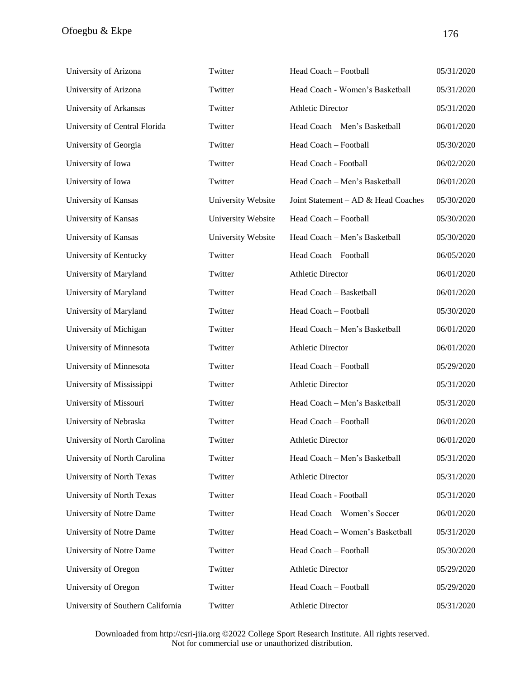| University of Arizona             | Twitter            | Head Coach - Football               | 05/31/2020 |
|-----------------------------------|--------------------|-------------------------------------|------------|
| University of Arizona             | Twitter            | Head Coach - Women's Basketball     | 05/31/2020 |
| University of Arkansas            | Twitter            | <b>Athletic Director</b>            | 05/31/2020 |
| University of Central Florida     | Twitter            | Head Coach - Men's Basketball       | 06/01/2020 |
| University of Georgia             | Twitter            | Head Coach - Football               | 05/30/2020 |
| University of Iowa                | Twitter            | Head Coach - Football               | 06/02/2020 |
| University of Iowa                | Twitter            | Head Coach - Men's Basketball       | 06/01/2020 |
| University of Kansas              | University Website | Joint Statement - AD & Head Coaches | 05/30/2020 |
| University of Kansas              | University Website | Head Coach - Football               | 05/30/2020 |
| University of Kansas              | University Website | Head Coach - Men's Basketball       | 05/30/2020 |
| University of Kentucky            | Twitter            | Head Coach - Football               | 06/05/2020 |
| University of Maryland            | Twitter            | <b>Athletic Director</b>            | 06/01/2020 |
| University of Maryland            | Twitter            | Head Coach - Basketball             | 06/01/2020 |
| University of Maryland            | Twitter            | Head Coach - Football               | 05/30/2020 |
| University of Michigan            | Twitter            | Head Coach - Men's Basketball       | 06/01/2020 |
| University of Minnesota           | Twitter            | <b>Athletic Director</b>            | 06/01/2020 |
| University of Minnesota           | Twitter            | Head Coach - Football               | 05/29/2020 |
| University of Mississippi         | Twitter            | <b>Athletic Director</b>            | 05/31/2020 |
| University of Missouri            | Twitter            | Head Coach - Men's Basketball       | 05/31/2020 |
| University of Nebraska            | Twitter            | Head Coach - Football               | 06/01/2020 |
| University of North Carolina      | Twitter            | <b>Athletic Director</b>            | 06/01/2020 |
| University of North Carolina      | Twitter            | Head Coach - Men's Basketball       | 05/31/2020 |
| University of North Texas         | Twitter            | <b>Athletic Director</b>            | 05/31/2020 |
| University of North Texas         | Twitter            | Head Coach - Football               | 05/31/2020 |
| University of Notre Dame          | Twitter            | Head Coach - Women's Soccer         | 06/01/2020 |
| University of Notre Dame          | Twitter            | Head Coach - Women's Basketball     | 05/31/2020 |
| University of Notre Dame          | Twitter            | Head Coach - Football               | 05/30/2020 |
| University of Oregon              | Twitter            | <b>Athletic Director</b>            | 05/29/2020 |
| University of Oregon              | Twitter            | Head Coach - Football               | 05/29/2020 |
| University of Southern California | Twitter            | <b>Athletic Director</b>            | 05/31/2020 |

Downloaded from http://csri-jiia.org ©2022 College Sport Research Institute. All rights reserved. Not for commercial use or unauthorized distribution.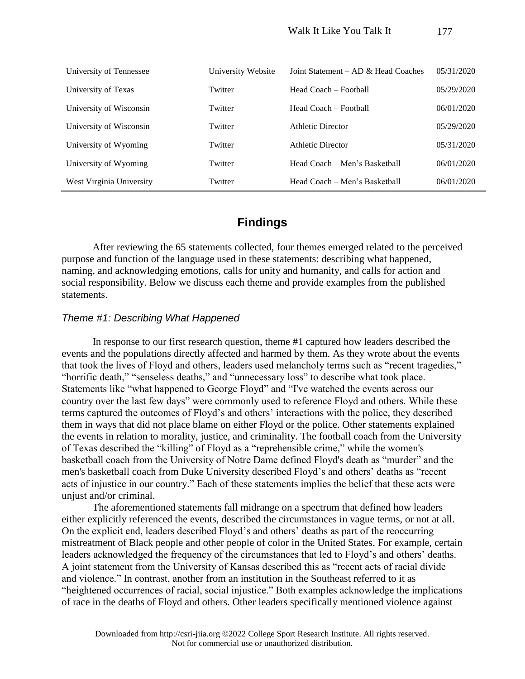| University of Tennessee  | University Website | Joint Statement $-\overline{AD}$ & Head Coaches | 05/31/2020 |
|--------------------------|--------------------|-------------------------------------------------|------------|
| University of Texas      | Twitter            | Head Coach – Football                           | 05/29/2020 |
| University of Wisconsin  | Twitter            | Head Coach – Football                           | 06/01/2020 |
| University of Wisconsin  | Twitter            | <b>Athletic Director</b>                        | 05/29/2020 |
| University of Wyoming    | Twitter            | <b>Athletic Director</b>                        | 05/31/2020 |
| University of Wyoming    | Twitter            | Head Coach – Men's Basketball                   | 06/01/2020 |
| West Virginia University | Twitter            | Head Coach – Men's Basketball                   | 06/01/2020 |

# **Findings**

After reviewing the 65 statements collected, four themes emerged related to the perceived purpose and function of the language used in these statements: describing what happened, naming, and acknowledging emotions, calls for unity and humanity, and calls for action and social responsibility. Below we discuss each theme and provide examples from the published statements.

#### *Theme #1: Describing What Happened*

In response to our first research question, theme #1 captured how leaders described the events and the populations directly affected and harmed by them. As they wrote about the events that took the lives of Floyd and others, leaders used melancholy terms such as "recent tragedies," "horrific death," "senseless deaths," and "unnecessary loss" to describe what took place. Statements like "what happened to George Floyd" and "I've watched the events across our country over the last few days" were commonly used to reference Floyd and others. While these terms captured the outcomes of Floyd's and others' interactions with the police, they described them in ways that did not place blame on either Floyd or the police. Other statements explained the events in relation to morality, justice, and criminality. The football coach from the University of Texas described the "killing" of Floyd as a "reprehensible crime," while the women's basketball coach from the University of Notre Dame defined Floyd's death as "murder" and the men's basketball coach from Duke University described Floyd's and others' deaths as "recent acts of injustice in our country." Each of these statements implies the belief that these acts were unjust and/or criminal.

The aforementioned statements fall midrange on a spectrum that defined how leaders either explicitly referenced the events, described the circumstances in vague terms, or not at all. On the explicit end, leaders described Floyd's and others' deaths as part of the reoccurring mistreatment of Black people and other people of color in the United States. For example, certain leaders acknowledged the frequency of the circumstances that led to Floyd's and others' deaths. A joint statement from the University of Kansas described this as "recent acts of racial divide and violence." In contrast, another from an institution in the Southeast referred to it as "heightened occurrences of racial, social injustice." Both examples acknowledge the implications of race in the deaths of Floyd and others. Other leaders specifically mentioned violence against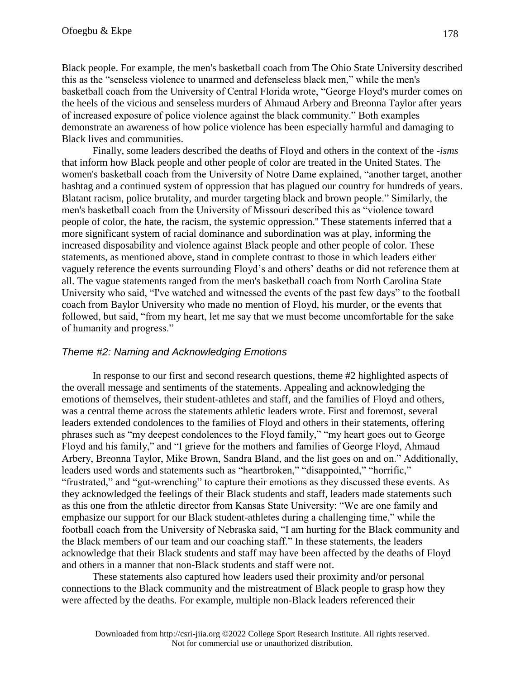Black people. For example, the men's basketball coach from The Ohio State University described this as the "senseless violence to unarmed and defenseless black men," while the men's basketball coach from the University of Central Florida wrote, "George Floyd's murder comes on the heels of the vicious and senseless murders of Ahmaud Arbery and Breonna Taylor after years of increased exposure of police violence against the black community." Both examples demonstrate an awareness of how police violence has been especially harmful and damaging to Black lives and communities.

Finally, some leaders described the deaths of Floyd and others in the context of the -*isms* that inform how Black people and other people of color are treated in the United States. The women's basketball coach from the University of Notre Dame explained, "another target, another hashtag and a continued system of oppression that has plagued our country for hundreds of years. Blatant racism, police brutality, and murder targeting black and brown people." Similarly, the men's basketball coach from the University of Missouri described this as "violence toward people of color, the hate, the racism, the systemic oppression.'' These statements inferred that a more significant system of racial dominance and subordination was at play, informing the increased disposability and violence against Black people and other people of color. These statements, as mentioned above, stand in complete contrast to those in which leaders either vaguely reference the events surrounding Floyd's and others' deaths or did not reference them at all. The vague statements ranged from the men's basketball coach from North Carolina State University who said, "I've watched and witnessed the events of the past few days" to the football coach from Baylor University who made no mention of Floyd, his murder, or the events that followed, but said, "from my heart, let me say that we must become uncomfortable for the sake of humanity and progress."

#### *Theme #2: Naming and Acknowledging Emotions*

In response to our first and second research questions, theme #2 highlighted aspects of the overall message and sentiments of the statements. Appealing and acknowledging the emotions of themselves, their student-athletes and staff, and the families of Floyd and others, was a central theme across the statements athletic leaders wrote. First and foremost, several leaders extended condolences to the families of Floyd and others in their statements, offering phrases such as "my deepest condolences to the Floyd family," "my heart goes out to George Floyd and his family," and "I grieve for the mothers and families of George Floyd, Ahmaud Arbery, Breonna Taylor, Mike Brown, Sandra Bland, and the list goes on and on." Additionally, leaders used words and statements such as "heartbroken," "disappointed," "horrific," "frustrated," and "gut-wrenching" to capture their emotions as they discussed these events. As they acknowledged the feelings of their Black students and staff, leaders made statements such as this one from the athletic director from Kansas State University: "We are one family and emphasize our support for our Black student-athletes during a challenging time," while the football coach from the University of Nebraska said, "I am hurting for the Black community and the Black members of our team and our coaching staff." In these statements, the leaders acknowledge that their Black students and staff may have been affected by the deaths of Floyd and others in a manner that non-Black students and staff were not.

These statements also captured how leaders used their proximity and/or personal connections to the Black community and the mistreatment of Black people to grasp how they were affected by the deaths. For example, multiple non-Black leaders referenced their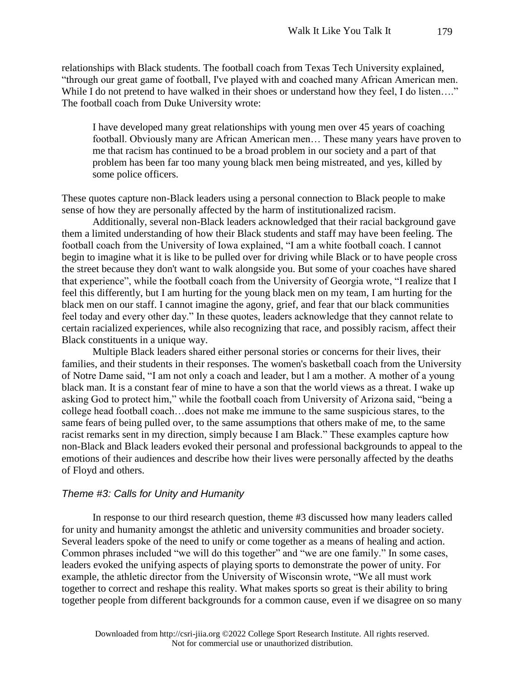relationships with Black students. The football coach from Texas Tech University explained, "through our great game of football, I've played with and coached many African American men. While I do not pretend to have walked in their shoes or understand how they feel, I do listen...." The football coach from Duke University wrote:

I have developed many great relationships with young men over 45 years of coaching football. Obviously many are African American men… These many years have proven to me that racism has continued to be a broad problem in our society and a part of that problem has been far too many young black men being mistreated, and yes, killed by some police officers.

These quotes capture non-Black leaders using a personal connection to Black people to make sense of how they are personally affected by the harm of institutionalized racism.

Additionally, several non-Black leaders acknowledged that their racial background gave them a limited understanding of how their Black students and staff may have been feeling. The football coach from the University of Iowa explained, "I am a white football coach. I cannot begin to imagine what it is like to be pulled over for driving while Black or to have people cross the street because they don't want to walk alongside you. But some of your coaches have shared that experience", while the football coach from the University of Georgia wrote, "I realize that I feel this differently, but I am hurting for the young black men on my team, I am hurting for the black men on our staff. I cannot imagine the agony, grief, and fear that our black communities feel today and every other day." In these quotes, leaders acknowledge that they cannot relate to certain racialized experiences, while also recognizing that race, and possibly racism, affect their Black constituents in a unique way.

Multiple Black leaders shared either personal stories or concerns for their lives, their families, and their students in their responses. The women's basketball coach from the University of Notre Dame said, "I am not only a coach and leader, but l am a mother. A mother of a young black man. It is a constant fear of mine to have a son that the world views as a threat. I wake up asking God to protect him," while the football coach from University of Arizona said, "being a college head football coach…does not make me immune to the same suspicious stares, to the same fears of being pulled over, to the same assumptions that others make of me, to the same racist remarks sent in my direction, simply because I am Black." These examples capture how non-Black and Black leaders evoked their personal and professional backgrounds to appeal to the emotions of their audiences and describe how their lives were personally affected by the deaths of Floyd and others.

#### *Theme #3: Calls for Unity and Humanity*

In response to our third research question, theme #3 discussed how many leaders called for unity and humanity amongst the athletic and university communities and broader society. Several leaders spoke of the need to unify or come together as a means of healing and action. Common phrases included "we will do this together" and "we are one family." In some cases, leaders evoked the unifying aspects of playing sports to demonstrate the power of unity. For example, the athletic director from the University of Wisconsin wrote, "We all must work together to correct and reshape this reality. What makes sports so great is their ability to bring together people from different backgrounds for a common cause, even if we disagree on so many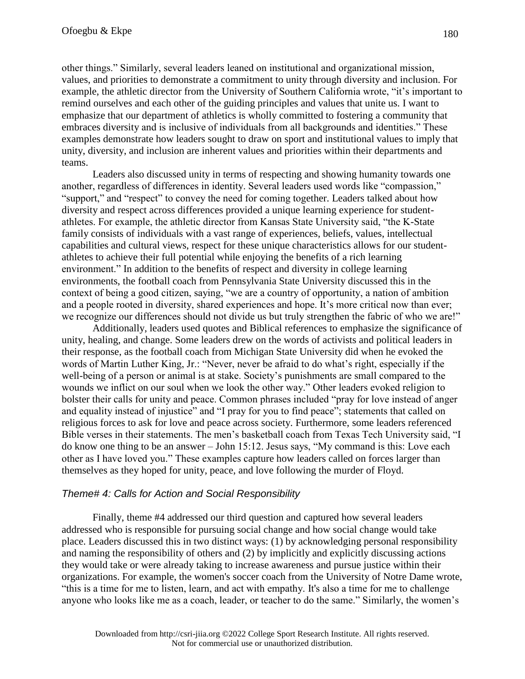other things." Similarly, several leaders leaned on institutional and organizational mission, values, and priorities to demonstrate a commitment to unity through diversity and inclusion. For example, the athletic director from the University of Southern California wrote, "it's important to remind ourselves and each other of the guiding principles and values that unite us. I want to emphasize that our department of athletics is wholly committed to fostering a community that embraces diversity and is inclusive of individuals from all backgrounds and identities." These examples demonstrate how leaders sought to draw on sport and institutional values to imply that unity, diversity, and inclusion are inherent values and priorities within their departments and teams.

Leaders also discussed unity in terms of respecting and showing humanity towards one another, regardless of differences in identity. Several leaders used words like "compassion," "support," and "respect" to convey the need for coming together. Leaders talked about how diversity and respect across differences provided a unique learning experience for studentathletes. For example, the athletic director from Kansas State University said, "the K-State family consists of individuals with a vast range of experiences, beliefs, values, intellectual capabilities and cultural views, respect for these unique characteristics allows for our studentathletes to achieve their full potential while enjoying the benefits of a rich learning environment." In addition to the benefits of respect and diversity in college learning environments, the football coach from Pennsylvania State University discussed this in the context of being a good citizen, saying, "we are a country of opportunity, a nation of ambition and a people rooted in diversity, shared experiences and hope. It's more critical now than ever; we recognize our differences should not divide us but truly strengthen the fabric of who we are!"

Additionally, leaders used quotes and Biblical references to emphasize the significance of unity, healing, and change. Some leaders drew on the words of activists and political leaders in their response, as the football coach from Michigan State University did when he evoked the words of Martin Luther King, Jr.: "Never, never be afraid to do what's right, especially if the well-being of a person or animal is at stake. Society's punishments are small compared to the wounds we inflict on our soul when we look the other way." Other leaders evoked religion to bolster their calls for unity and peace. Common phrases included "pray for love instead of anger and equality instead of injustice" and "I pray for you to find peace"; statements that called on religious forces to ask for love and peace across society. Furthermore, some leaders referenced Bible verses in their statements. The men's basketball coach from Texas Tech University said, "I do know one thing to be an answer – John 15:12. Jesus says, "My command is this: Love each other as I have loved you." These examples capture how leaders called on forces larger than themselves as they hoped for unity, peace, and love following the murder of Floyd.

#### *Theme# 4: Calls for Action and Social Responsibility*

Finally, theme #4 addressed our third question and captured how several leaders addressed who is responsible for pursuing social change and how social change would take place. Leaders discussed this in two distinct ways: (1) by acknowledging personal responsibility and naming the responsibility of others and (2) by implicitly and explicitly discussing actions they would take or were already taking to increase awareness and pursue justice within their organizations. For example, the women's soccer coach from the University of Notre Dame wrote, "this is a time for me to listen, learn, and act with empathy. It's also a time for me to challenge anyone who looks like me as a coach, leader, or teacher to do the same." Similarly, the women's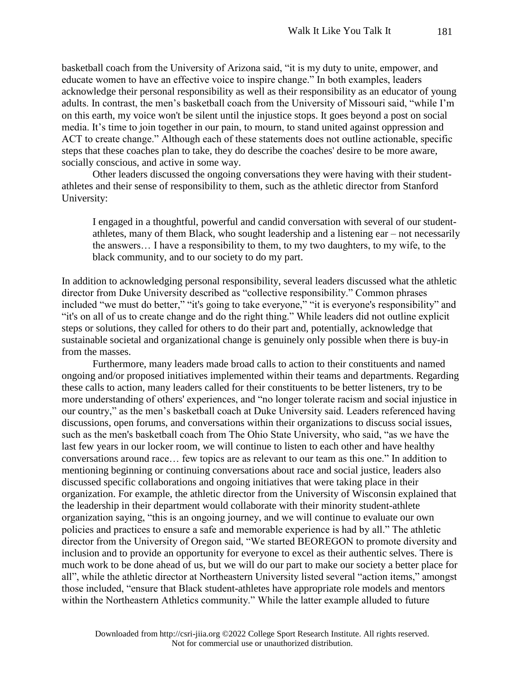basketball coach from the University of Arizona said, "it is my duty to unite, empower, and educate women to have an effective voice to inspire change." In both examples, leaders acknowledge their personal responsibility as well as their responsibility as an educator of young adults. In contrast, the men's basketball coach from the University of Missouri said, "while I'm on this earth, my voice won't be silent until the injustice stops. It goes beyond a post on social media. It's time to join together in our pain, to mourn, to stand united against oppression and ACT to create change." Although each of these statements does not outline actionable, specific steps that these coaches plan to take, they do describe the coaches' desire to be more aware, socially conscious, and active in some way.

Other leaders discussed the ongoing conversations they were having with their studentathletes and their sense of responsibility to them, such as the athletic director from Stanford University:

I engaged in a thoughtful, powerful and candid conversation with several of our studentathletes, many of them Black, who sought leadership and a listening ear – not necessarily the answers… I have a responsibility to them, to my two daughters, to my wife, to the black community, and to our society to do my part.

In addition to acknowledging personal responsibility, several leaders discussed what the athletic director from Duke University described as "collective responsibility." Common phrases included "we must do better," "it's going to take everyone," "it is everyone's responsibility" and "it's on all of us to create change and do the right thing." While leaders did not outline explicit steps or solutions, they called for others to do their part and, potentially, acknowledge that sustainable societal and organizational change is genuinely only possible when there is buy-in from the masses.

Furthermore, many leaders made broad calls to action to their constituents and named ongoing and/or proposed initiatives implemented within their teams and departments. Regarding these calls to action, many leaders called for their constituents to be better listeners, try to be more understanding of others' experiences, and "no longer tolerate racism and social injustice in our country," as the men's basketball coach at Duke University said. Leaders referenced having discussions, open forums, and conversations within their organizations to discuss social issues, such as the men's basketball coach from The Ohio State University, who said, "as we have the last few years in our locker room, we will continue to listen to each other and have healthy conversations around race… few topics are as relevant to our team as this one." In addition to mentioning beginning or continuing conversations about race and social justice, leaders also discussed specific collaborations and ongoing initiatives that were taking place in their organization. For example, the athletic director from the University of Wisconsin explained that the leadership in their department would collaborate with their minority student-athlete organization saying, "this is an ongoing journey, and we will continue to evaluate our own policies and practices to ensure a safe and memorable experience is had by all." The athletic director from the University of Oregon said, "We started BEOREGON to promote diversity and inclusion and to provide an opportunity for everyone to excel as their authentic selves. There is much work to be done ahead of us, but we will do our part to make our society a better place for all", while the athletic director at Northeastern University listed several "action items," amongst those included, "ensure that Black student-athletes have appropriate role models and mentors within the Northeastern Athletics community." While the latter example alluded to future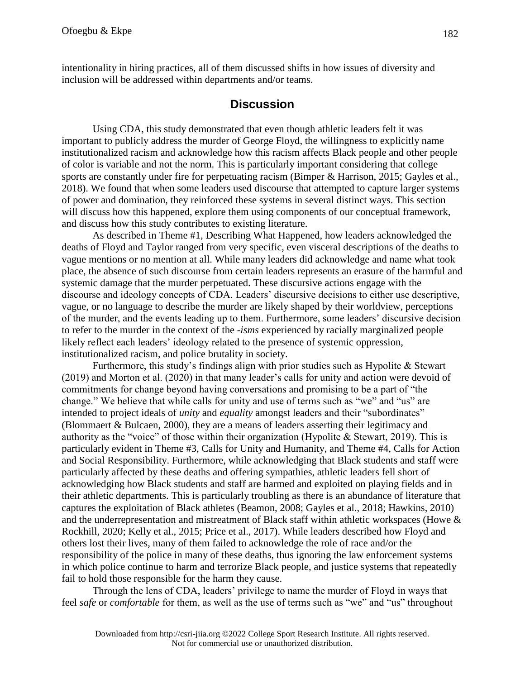intentionality in hiring practices, all of them discussed shifts in how issues of diversity and inclusion will be addressed within departments and/or teams.

# **Discussion**

Using CDA, this study demonstrated that even though athletic leaders felt it was important to publicly address the murder of George Floyd, the willingness to explicitly name institutionalized racism and acknowledge how this racism affects Black people and other people of color is variable and not the norm. This is particularly important considering that college sports are constantly under fire for perpetuating racism (Bimper & Harrison, 2015; Gayles et al., 2018). We found that when some leaders used discourse that attempted to capture larger systems of power and domination, they reinforced these systems in several distinct ways. This section will discuss how this happened, explore them using components of our conceptual framework, and discuss how this study contributes to existing literature.

As described in Theme #1, Describing What Happened, how leaders acknowledged the deaths of Floyd and Taylor ranged from very specific, even visceral descriptions of the deaths to vague mentions or no mention at all. While many leaders did acknowledge and name what took place, the absence of such discourse from certain leaders represents an erasure of the harmful and systemic damage that the murder perpetuated. These discursive actions engage with the discourse and ideology concepts of CDA. Leaders' discursive decisions to either use descriptive, vague, or no language to describe the murder are likely shaped by their worldview, perceptions of the murder, and the events leading up to them. Furthermore, some leaders' discursive decision to refer to the murder in the context of the *-isms* experienced by racially marginalized people likely reflect each leaders' ideology related to the presence of systemic oppression, institutionalized racism, and police brutality in society.

Furthermore, this study's findings align with prior studies such as Hypolite & Stewart (2019) and Morton et al. (2020) in that many leader's calls for unity and action were devoid of commitments for change beyond having conversations and promising to be a part of "the change." We believe that while calls for unity and use of terms such as "we" and "us" are intended to project ideals of *unity* and *equality* amongst leaders and their "subordinates" (Blommaert & Bulcaen, 2000), they are a means of leaders asserting their legitimacy and authority as the "voice" of those within their organization (Hypolite & Stewart, 2019). This is particularly evident in Theme #3, Calls for Unity and Humanity, and Theme #4, Calls for Action and Social Responsibility. Furthermore, while acknowledging that Black students and staff were particularly affected by these deaths and offering sympathies, athletic leaders fell short of acknowledging how Black students and staff are harmed and exploited on playing fields and in their athletic departments. This is particularly troubling as there is an abundance of literature that captures the exploitation of Black athletes (Beamon, 2008; Gayles et al., 2018; Hawkins, 2010) and the underrepresentation and mistreatment of Black staff within athletic workspaces (Howe & Rockhill, 2020; Kelly et al., 2015; Price et al., 2017). While leaders described how Floyd and others lost their lives, many of them failed to acknowledge the role of race and/or the responsibility of the police in many of these deaths, thus ignoring the law enforcement systems in which police continue to harm and terrorize Black people, and justice systems that repeatedly fail to hold those responsible for the harm they cause.

Through the lens of CDA, leaders' privilege to name the murder of Floyd in ways that feel *safe* or *comfortable* for them, as well as the use of terms such as "we" and "us" throughout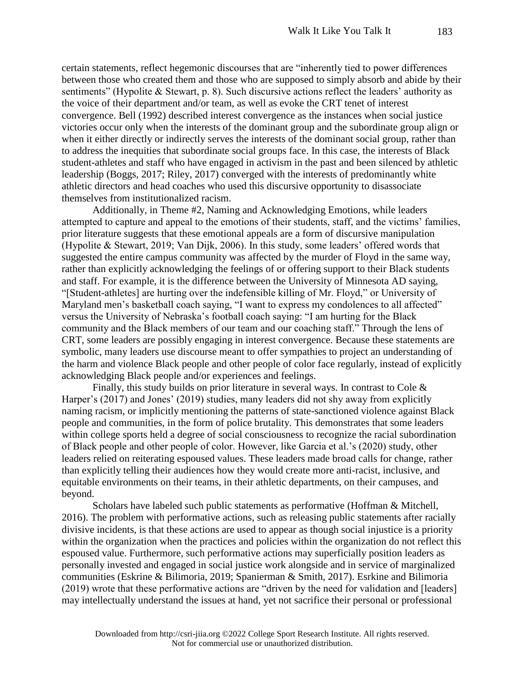certain statements, reflect hegemonic discourses that are "inherently tied to power differences between those who created them and those who are supposed to simply absorb and abide by their sentiments" (Hypolite & Stewart, p. 8). Such discursive actions reflect the leaders' authority as the voice of their department and/or team, as well as evoke the CRT tenet of interest convergence. Bell (1992) described interest convergence as the instances when social justice victories occur only when the interests of the dominant group and the subordinate group align or when it either directly or indirectly serves the interests of the dominant social group, rather than to address the inequities that subordinate social groups face. In this case, the interests of Black student-athletes and staff who have engaged in activism in the past and been silenced by athletic leadership (Boggs, 2017; Riley, 2017) converged with the interests of predominantly white athletic directors and head coaches who used this discursive opportunity to disassociate themselves from institutionalized racism.

Additionally, in Theme #2, Naming and Acknowledging Emotions, while leaders attempted to capture and appeal to the emotions of their students, staff, and the victims' families, prior literature suggests that these emotional appeals are a form of discursive manipulation (Hypolite & Stewart, 2019; Van Dijk, 2006). In this study, some leaders' offered words that suggested the entire campus community was affected by the murder of Floyd in the same way, rather than explicitly acknowledging the feelings of or offering support to their Black students and staff. For example, it is the difference between the University of Minnesota AD saying, "[Student-athletes] are hurting over the indefensible killing of Mr. Floyd," or University of Maryland men's basketball coach saying, "I want to express my condolences to all affected" versus the University of Nebraska's football coach saying: "I am hurting for the Black community and the Black members of our team and our coaching staff." Through the lens of CRT, some leaders are possibly engaging in interest convergence. Because these statements are symbolic, many leaders use discourse meant to offer sympathies to project an understanding of the harm and violence Black people and other people of color face regularly, instead of explicitly acknowledging Black people and/or experiences and feelings.

Finally, this study builds on prior literature in several ways. In contrast to Cole  $\&$ Harper's (2017) and Jones' (2019) studies, many leaders did not shy away from explicitly naming racism, or implicitly mentioning the patterns of state-sanctioned violence against Black people and communities, in the form of police brutality. This demonstrates that some leaders within college sports held a degree of social consciousness to recognize the racial subordination of Black people and other people of color. However, like Garcia et al.'s (2020) study, other leaders relied on reiterating espoused values. These leaders made broad calls for change, rather than explicitly telling their audiences how they would create more anti-racist, inclusive, and equitable environments on their teams, in their athletic departments, on their campuses, and beyond.

Scholars have labeled such public statements as performative (Hoffman & Mitchell, 2016). The problem with performative actions, such as releasing public statements after racially divisive incidents, is that these actions are used to appear as though social injustice is a priority within the organization when the practices and policies within the organization do not reflect this espoused value. Furthermore, such performative actions may superficially position leaders as personally invested and engaged in social justice work alongside and in service of marginalized communities (Eskrine & Bilimoria, 2019; Spanierman & Smith, 2017). Esrkine and Bilimoria (2019) wrote that these performative actions are "driven by the need for validation and [leaders] may intellectually understand the issues at hand, yet not sacrifice their personal or professional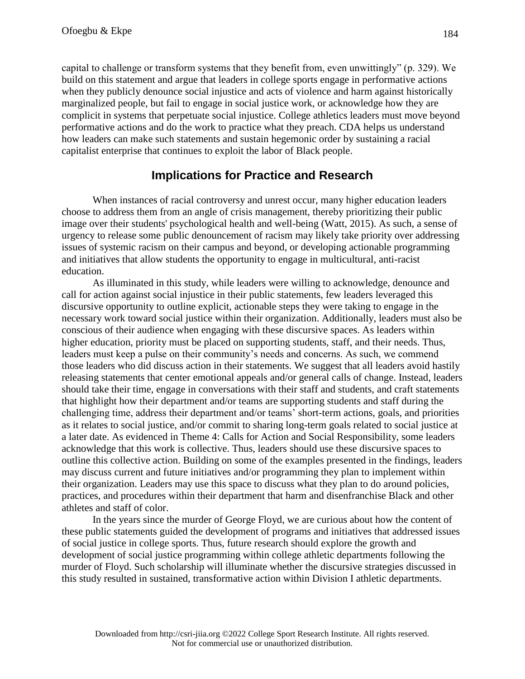capital to challenge or transform systems that they benefit from, even unwittingly" (p. 329). We build on this statement and argue that leaders in college sports engage in performative actions when they publicly denounce social injustice and acts of violence and harm against historically marginalized people, but fail to engage in social justice work, or acknowledge how they are complicit in systems that perpetuate social injustice. College athletics leaders must move beyond performative actions and do the work to practice what they preach. CDA helps us understand how leaders can make such statements and sustain hegemonic order by sustaining a racial capitalist enterprise that continues to exploit the labor of Black people.

# **Implications for Practice and Research**

When instances of racial controversy and unrest occur, many higher education leaders choose to address them from an angle of crisis management, thereby prioritizing their public image over their students' psychological health and well-being (Watt, 2015). As such, a sense of urgency to release some public denouncement of racism may likely take priority over addressing issues of systemic racism on their campus and beyond, or developing actionable programming and initiatives that allow students the opportunity to engage in multicultural, anti-racist education.

As illuminated in this study, while leaders were willing to acknowledge, denounce and call for action against social injustice in their public statements, few leaders leveraged this discursive opportunity to outline explicit, actionable steps they were taking to engage in the necessary work toward social justice within their organization. Additionally, leaders must also be conscious of their audience when engaging with these discursive spaces. As leaders within higher education, priority must be placed on supporting students, staff, and their needs. Thus, leaders must keep a pulse on their community's needs and concerns. As such, we commend those leaders who did discuss action in their statements. We suggest that all leaders avoid hastily releasing statements that center emotional appeals and/or general calls of change. Instead, leaders should take their time, engage in conversations with their staff and students, and craft statements that highlight how their department and/or teams are supporting students and staff during the challenging time, address their department and/or teams' short-term actions, goals, and priorities as it relates to social justice, and/or commit to sharing long-term goals related to social justice at a later date. As evidenced in Theme 4: Calls for Action and Social Responsibility, some leaders acknowledge that this work is collective. Thus, leaders should use these discursive spaces to outline this collective action. Building on some of the examples presented in the findings, leaders may discuss current and future initiatives and/or programming they plan to implement within their organization. Leaders may use this space to discuss what they plan to do around policies, practices, and procedures within their department that harm and disenfranchise Black and other athletes and staff of color.

In the years since the murder of George Floyd, we are curious about how the content of these public statements guided the development of programs and initiatives that addressed issues of social justice in college sports. Thus, future research should explore the growth and development of social justice programming within college athletic departments following the murder of Floyd. Such scholarship will illuminate whether the discursive strategies discussed in this study resulted in sustained, transformative action within Division I athletic departments.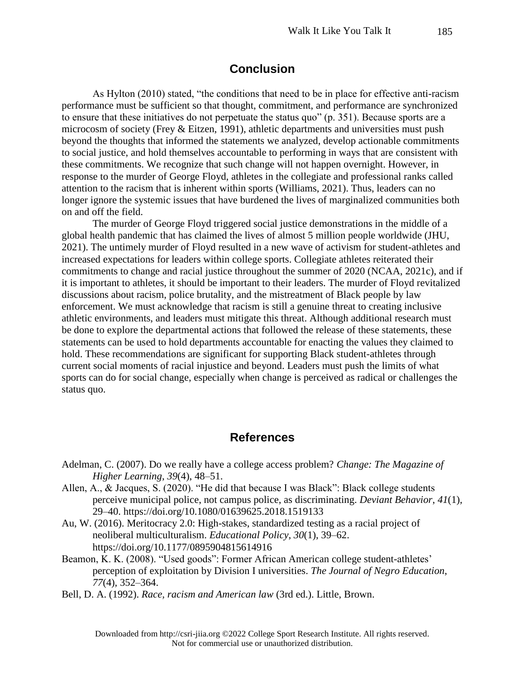# **Conclusion**

As Hylton (2010) stated, "the conditions that need to be in place for effective anti-racism performance must be sufficient so that thought, commitment, and performance are synchronized to ensure that these initiatives do not perpetuate the status quo" (p. 351). Because sports are a microcosm of society (Frey & Eitzen, 1991), athletic departments and universities must push beyond the thoughts that informed the statements we analyzed, develop actionable commitments to social justice, and hold themselves accountable to performing in ways that are consistent with these commitments. We recognize that such change will not happen overnight. However, in response to the murder of George Floyd, athletes in the collegiate and professional ranks called attention to the racism that is inherent within sports (Williams, 2021). Thus, leaders can no longer ignore the systemic issues that have burdened the lives of marginalized communities both on and off the field.

The murder of George Floyd triggered social justice demonstrations in the middle of a global health pandemic that has claimed the lives of almost 5 million people worldwide (JHU, 2021). The untimely murder of Floyd resulted in a new wave of activism for student-athletes and increased expectations for leaders within college sports. Collegiate athletes reiterated their commitments to change and racial justice throughout the summer of 2020 (NCAA, 2021c), and if it is important to athletes, it should be important to their leaders. The murder of Floyd revitalized discussions about racism, police brutality, and the mistreatment of Black people by law enforcement. We must acknowledge that racism is still a genuine threat to creating inclusive athletic environments, and leaders must mitigate this threat. Although additional research must be done to explore the departmental actions that followed the release of these statements, these statements can be used to hold departments accountable for enacting the values they claimed to hold. These recommendations are significant for supporting Black student-athletes through current social moments of racial injustice and beyond. Leaders must push the limits of what sports can do for social change, especially when change is perceived as radical or challenges the status quo.

## **References**

- Adelman, C. (2007). Do we really have a college access problem? *Change: The Magazine of Higher Learning*, *39*(4), 48–51.
- Allen, A., & Jacques, S. (2020). "He did that because I was Black": Black college students perceive municipal police, not campus police, as discriminating. *Deviant Behavior*, *41*(1), 29–40[.](https://doi.org/10.1080/01639625.2018.1519133) <https://doi.org/10.1080/01639625.2018.1519133>
- Au, W. (2016). Meritocracy 2.0: High-stakes, standardized testing as a racial project of neoliberal multiculturalism. *Educational Policy*, *30*(1), 39–62[.](https://doi.org/10.1177/0895904815614916) <https://doi.org/10.1177/0895904815614916>
- Beamon, K. K. (2008). "Used goods": Former African American college student-athletes' perception of exploitation by Division I universities. *The Journal of Negro Education*, *77*(4), 352–364.
- Bell, D. A. (1992). *Race, racism and American law* (3rd ed.). Little, Brown.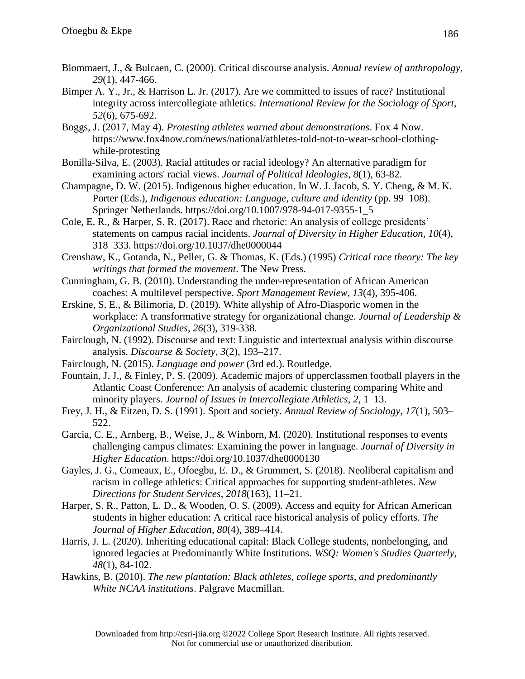- Blommaert, J., & Bulcaen, C. (2000). Critical discourse analysis. *Annual review of anthropology*, *29*(1), 447-466.
- Bimper A. Y., Jr., & Harrison L. Jr. (2017). Are we committed to issues of race? Institutional integrity across intercollegiate athletics. *International Review for the Sociology of Sport*, *52*(6), 675-692.
- Boggs, J. (2017, May 4). *Protesting athletes warned about demonstrations*. Fox 4 Now[.](https://www.fox4now.com/news/national/athletes-told-not-to-wear-school-clothing-while-protesting) [https://www.fox4now.com/news/national/athletes-told-not-to-wear-school-clothing](https://www.fox4now.com/news/national/athletes-told-not-to-wear-school-clothing-while-protesting)[while-protesting](https://www.fox4now.com/news/national/athletes-told-not-to-wear-school-clothing-while-protesting)
- Bonilla-Silva, E. (2003). Racial attitudes or racial ideology? An alternative paradigm for examining actors' racial views. *Journal of Political Ideologies*, *8*(1), 63-82.
- Champagne, D. W. (2015). Indigenous higher education. In W. J. Jacob, S. Y. Cheng, & M. K. Porter (Eds.), *Indigenous education: Language, culture and identity* (pp. 99–108). Springer Netherlands. [https://doi.org/10.1007/978-94-017-9355-1\\_5](https://doi.org/10.1007/978-94-017-9355-1_5)
- Cole, E. R., & Harper, S. R. (2017). Race and rhetoric: An analysis of college presidents' statements on campus racial incidents. *Journal of Diversity in Higher Education*, *10*(4), 318–333[.](https://doi.org/10.1037/dhe0000044) <https://doi.org/10.1037/dhe0000044>
- Crenshaw, K., Gotanda, N., Peller, G. & Thomas, K. (Eds.) (1995) *Critical race theory: The key writings that formed the movement*. The New Press.
- Cunningham, G. B. (2010). Understanding the under-representation of African American coaches: A multilevel perspective. *Sport Management Review*, *13*(4), 395-406.
- Erskine, S. E., & Bilimoria, D. (2019). White allyship of Afro-Diasporic women in the workplace: A transformative strategy for organizational change. *Journal of Leadership & Organizational Studies*, *26*(3), 319-338.
- Fairclough, N. (1992). Discourse and text: Linguistic and intertextual analysis within discourse analysis. *Discourse & Society*, *3*(2), 193–217.
- Fairclough, N. (2015). *Language and power* (3rd ed.). Routledge.
- Fountain, J. J., & Finley, P. S. (2009). Academic majors of upperclassmen football players in the Atlantic Coast Conference: An analysis of academic clustering comparing White and minority players. *Journal of Issues in Intercollegiate Athletics*, *2*, 1–13.
- Frey, J. H., & Eitzen, D. S. (1991). Sport and society. *Annual Review of Sociology*, *17*(1), 503– 522.
- Garcia, C. E., Arnberg, B., Weise, J., & Winborn, M. (2020). Institutional responses to events challenging campus climates: Examining the power in language. *Journal of Diversity in Higher Education*. <https://doi.org/10.1037/dhe0000130>
- Gayles, J. G., Comeaux, E., Ofoegbu, E. D., & Grummert, S. (2018). Neoliberal capitalism and racism in college athletics: Critical approaches for supporting student-athletes. *New Directions for Student Services*, *2018*(163), 11–21.
- Harper, S. R., Patton, L. D., & Wooden, O. S. (2009). Access and equity for African American students in higher education: A critical race historical analysis of policy efforts. *The Journal of Higher Education*, *80*(4), 389–414.
- Harris, J. L. (2020). Inheriting educational capital: Black College students, nonbelonging, and ignored legacies at Predominantly White Institutions. *WSQ: Women's Studies Quarterly*, *48*(1), 84-102.
- Hawkins, B. (2010). *The new plantation: Black athletes, college sports, and predominantly White NCAA institutions*. Palgrave Macmillan.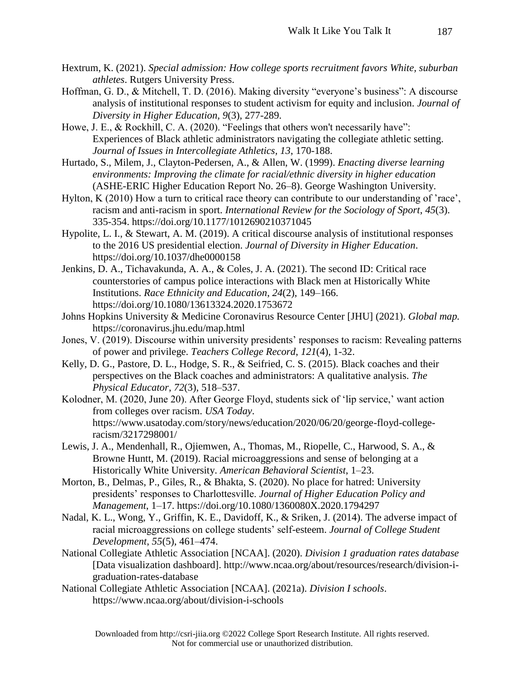- Hextrum, K. (2021). *Special admission: How college sports recruitment favors White, suburban athletes*. Rutgers University Press.
- Hoffman, G. D., & Mitchell, T. D. (2016). Making diversity "everyone's business": A discourse analysis of institutional responses to student activism for equity and inclusion. *Journal of Diversity in Higher Education, 9*(3), 277-289.
- Howe, J. E., & Rockhill, C. A. (2020). "Feelings that others won't necessarily have": Experiences of Black athletic administrators navigating the collegiate athletic setting. *Journal of Issues in Intercollegiate Athletics, 13*, 170-188.
- Hurtado, S., Milem, J., Clayton-Pedersen, A., & Allen, W. (1999). *Enacting diverse learning environments: Improving the climate for racial/ethnic diversity in higher education*  (ASHE-ERIC Higher Education Report No. 26–8). George Washington University.
- Hylton, K (2010) How a turn to critical race theory can contribute to our understanding of 'race', racism and anti-racism in sport. *International Review for the Sociology of Sport*, *45*(3). 335-354. https://doi.org/10.1177/1012690210371045
- Hypolite, L. I., & Stewart, A. M. (2019). A critical discourse analysis of institutional responses to the 2016 US presidential election. *Journal of Diversity in Higher Education*[.](https://doi.org/10.1037/dhe0000158) <https://doi.org/10.1037/dhe0000158>
- Jenkins, D. A., Tichavakunda, A. A., & Coles, J. A. (2021). The second ID: Critical race counterstories of campus police interactions with Black men at Historically White Institutions. *Race Ethnicity and Education*, *24*(2), 149–166[.](https://doi.org/10.1080/13613324.2020.1753672) <https://doi.org/10.1080/13613324.2020.1753672>
- Johns Hopkins University & Medicine Coronavirus Resource Center [JHU] (2021). *Global map.*  https://coronavirus.jhu.edu/map.html
- Jones, V. (2019). Discourse within university presidents' responses to racism: Revealing patterns of power and privilege. *Teachers College Record*, *121*(4), 1-32.
- Kelly, D. G., Pastore, D. L., Hodge, S. R., & Seifried, C. S. (2015). Black coaches and their perspectives on the Black coaches and administrators: A qualitative analysis. *The Physical Educator*, *72*(3), 518–537.
- Kolodner, M. (2020, June 20). After George Floyd, students sick of 'lip service,' want action from colleges over racism. *USA Today*. https://www.usatoday.com/story/news/education/2020/06/20/george-floyd-collegeracism/3217298001/
- Lewis, J. A., Mendenhall, R., Ojiemwen, A., Thomas, M., Riopelle, C., Harwood, S. A., & Browne Huntt, M. (2019). Racial microaggressions and sense of belonging at a Historically White University. *American Behavioral Scientist*, 1–23.
- Morton, B., Delmas, P., Giles, R., & Bhakta, S. (2020). No place for hatred: University presidents' responses to Charlottesville. *Journal of Higher Education Policy and Management*, 1–17[.](https://doi.org/10.1080/1360080X.2020.1794297) <https://doi.org/10.1080/1360080X.2020.1794297>
- Nadal, K. L., Wong, Y., Griffin, K. E., Davidoff, K., & Sriken, J. (2014). The adverse impact of racial microaggressions on college students' self-esteem. *Journal of College Student Development*, *55*(5), 461–474.
- National Collegiate Athletic Association [NCAA]. (2020). *Division 1 graduation rates database* [Data visualization dashboard]. http://www.ncaa.org/about/resources/research/division-igraduation-rates-database
- National Collegiate Athletic Association [NCAA]. (2021a). *Division I schools*. https://www.ncaa.org/about/division-i-schools